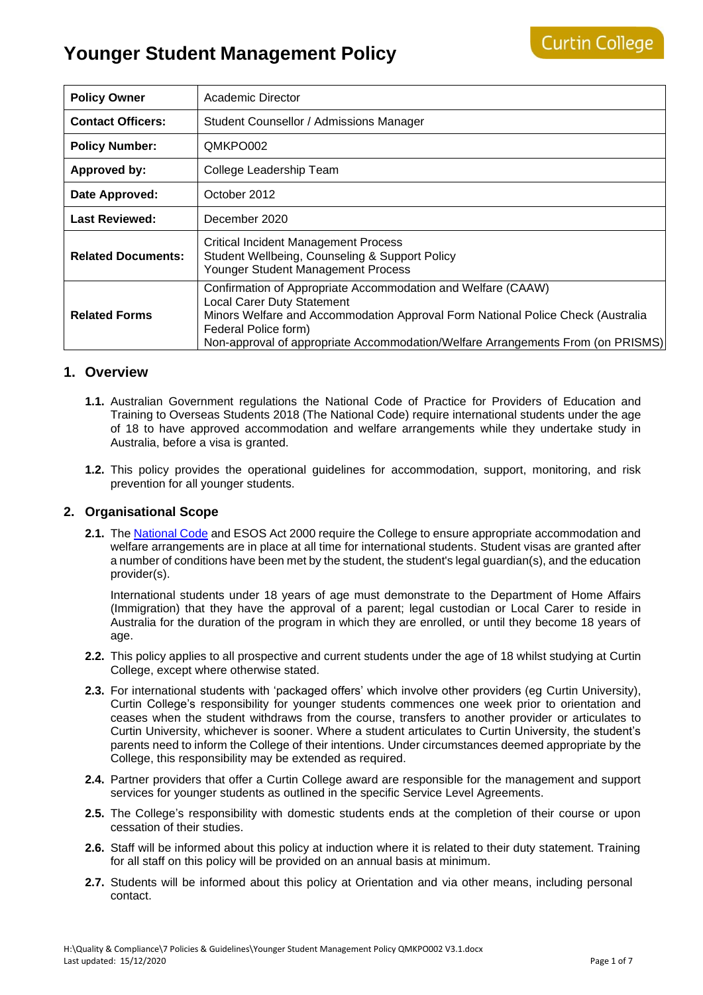| <b>Policy Owner</b>       | Academic Director                                                                                                                                                                                                                                                                               |
|---------------------------|-------------------------------------------------------------------------------------------------------------------------------------------------------------------------------------------------------------------------------------------------------------------------------------------------|
| <b>Contact Officers:</b>  | Student Counsellor / Admissions Manager                                                                                                                                                                                                                                                         |
| <b>Policy Number:</b>     | QMKPO002                                                                                                                                                                                                                                                                                        |
| <b>Approved by:</b>       | College Leadership Team                                                                                                                                                                                                                                                                         |
| Date Approved:            | October 2012                                                                                                                                                                                                                                                                                    |
| <b>Last Reviewed:</b>     | December 2020                                                                                                                                                                                                                                                                                   |
| <b>Related Documents:</b> | <b>Critical Incident Management Process</b><br>Student Wellbeing, Counseling & Support Policy<br>Younger Student Management Process                                                                                                                                                             |
| <b>Related Forms</b>      | Confirmation of Appropriate Accommodation and Welfare (CAAW)<br><b>Local Carer Duty Statement</b><br>Minors Welfare and Accommodation Approval Form National Police Check (Australia<br>Federal Police form)<br>Non-approval of appropriate Accommodation/Welfare Arrangements From (on PRISMS) |

### **1. Overview**

- **1.1.** Australian Government regulations the National Code of Practice for Providers of Education and Training to Overseas Students 2018 (The National Code) require international students under the age of 18 to have approved accommodation and welfare arrangements while they undertake study in Australia, before a visa is granted.
- **1.2.** This policy provides the operational guidelines for accommodation, support, monitoring, and risk prevention for all younger students.

### **2. Organisational Scope**

**2.1.** The [National Code](https://www.legislation.gov.au/Details/F2017L01182) and ESOS Act 2000 require the College to ensure appropriate accommodation and welfare arrangements are in place at all time for international students. Student visas are granted after a number of conditions have been met by the student, the student's legal guardian(s), and the education provider(s).

International students under 18 years of age must demonstrate to the Department of Home Affairs (Immigration) that they have the approval of a parent; legal custodian or Local Carer to reside in Australia for the duration of the program in which they are enrolled, or until they become 18 years of age.

- **2.2.** This policy applies to all prospective and current students under the age of 18 whilst studying at Curtin College, except where otherwise stated.
- **2.3.** For international students with 'packaged offers' which involve other providers (eg Curtin University), Curtin College's responsibility for younger students commences one week prior to orientation and ceases when the student withdraws from the course, transfers to another provider or articulates to Curtin University, whichever is sooner. Where a student articulates to Curtin University, the student's parents need to inform the College of their intentions. Under circumstances deemed appropriate by the College, this responsibility may be extended as required.
- **2.4.** Partner providers that offer a Curtin College award are responsible for the management and support services for younger students as outlined in the specific Service Level Agreements.
- **2.5.** The College's responsibility with domestic students ends at the completion of their course or upon cessation of their studies.
- **2.6.** Staff will be informed about this policy at induction where it is related to their duty statement. Training for all staff on this policy will be provided on an annual basis at minimum.
- **2.7.** Students will be informed about this policy at Orientation and via other means, including personal contact.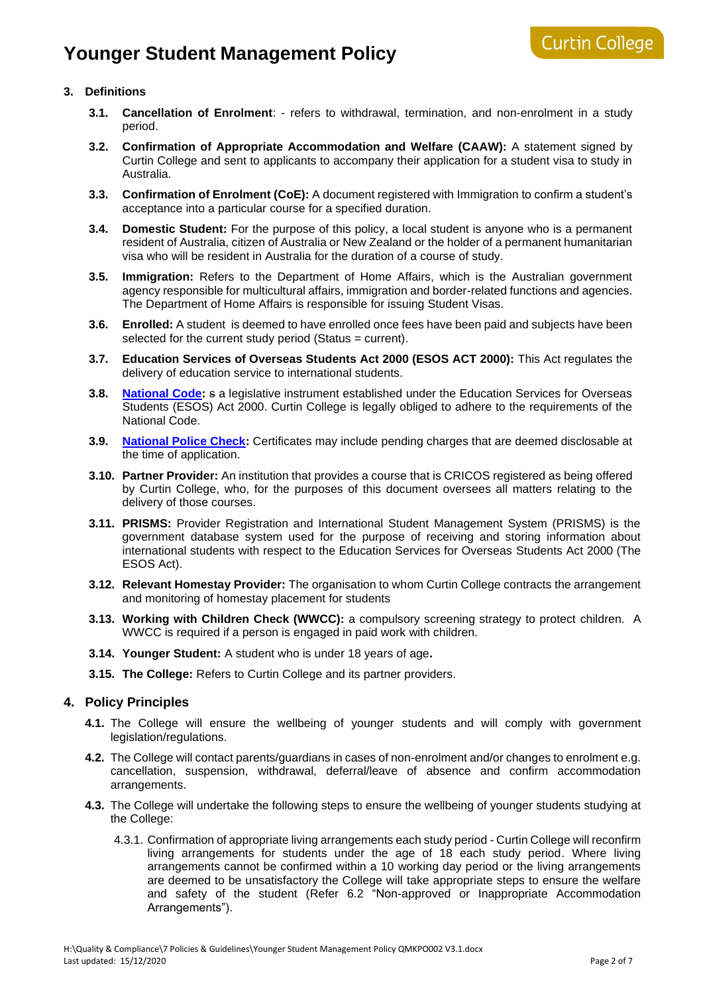### **3. Definitions**

- **3.1. Cancellation of Enrolment**: refers to withdrawal, termination, and non-enrolment in a study period.
- **3.2. Confirmation of Appropriate Accommodation and Welfare (CAAW):** A statement signed by Curtin College and sent to applicants to accompany their application for a student visa to study in Australia.
- **3.3. Confirmation of Enrolment (CoE):** A document registered with Immigration to confirm a student's acceptance into a particular course for a specified duration.
- **3.4. Domestic Student:** For the purpose of this policy, a local student is anyone who is a permanent resident of Australia, citizen of Australia or New Zealand or the holder of a permanent humanitarian visa who will be resident in Australia for the duration of a course of study.
- **3.5. Immigration:** Refers to the Department of Home Affairs, which is the Australian government agency responsible for multicultural affairs, immigration and border-related functions and agencies. The Department of Home Affairs is responsible for issuing Student Visas.
- **3.6. Enrolled:** A student is deemed to have enrolled once fees have been paid and subjects have been selected for the current study period (Status = current).
- **3.7. Education Services of Overseas Students Act 2000 (ESOS ACT 2000):** This Act regulates the delivery of education service to international students.
- **3.8. [National Code:](https://www.legislation.gov.au/Details/F2017L01182)** s a legislative instrument established under the Education Services for Overseas Students (ESOS) Act 2000. Curtin College is legally obliged to adhere to the requirements of the National Code.
- **3.9. [National Police Check:](https://www.afp.gov.au/what-we-do/services/criminal-records/national-police-checks)** Certificates may include pending charges that are deemed disclosable at the time of application.
- **3.10. Partner Provider:** An institution that provides a course that is CRICOS registered as being offered by Curtin College, who, for the purposes of this document oversees all matters relating to the delivery of those courses.
- **3.11. PRISMS:** Provider Registration and International Student Management System (PRISMS) is the government database system used for the purpose of receiving and storing information about international students with respect to the Education Services for Overseas Students Act 2000 (The ESOS Act).
- **3.12. Relevant Homestay Provider:** The organisation to whom Curtin College contracts the arrangement and monitoring of homestay placement for students
- **3.13. Working with Children Check (WWCC):** a compulsory screening strategy to protect children. A WWCC is required if a person is engaged in paid work with children.
- **3.14. Younger Student:** A student who is under 18 years of age**.**
- **3.15. The College:** Refers to Curtin College and its partner providers.

### **4. Policy Principles**

- **4.1.** The College will ensure the wellbeing of younger students and will comply with government legislation/regulations.
- **4.2.** The College will contact parents/guardians in cases of non-enrolment and/or changes to enrolment e.g. cancellation, suspension, withdrawal, deferral/leave of absence and confirm accommodation arrangements.
- **4.3.** The College will undertake the following steps to ensure the wellbeing of younger students studying at the College:
	- 4.3.1. Confirmation of appropriate living arrangements each study period Curtin College will reconfirm living arrangements for students under the age of 18 each study period. Where living arrangements cannot be confirmed within a 10 working day period or the living arrangements are deemed to be unsatisfactory the College will take appropriate steps to ensure the welfare and safety of the student (Refer 6.2 "Non-approved or Inappropriate Accommodation Arrangements").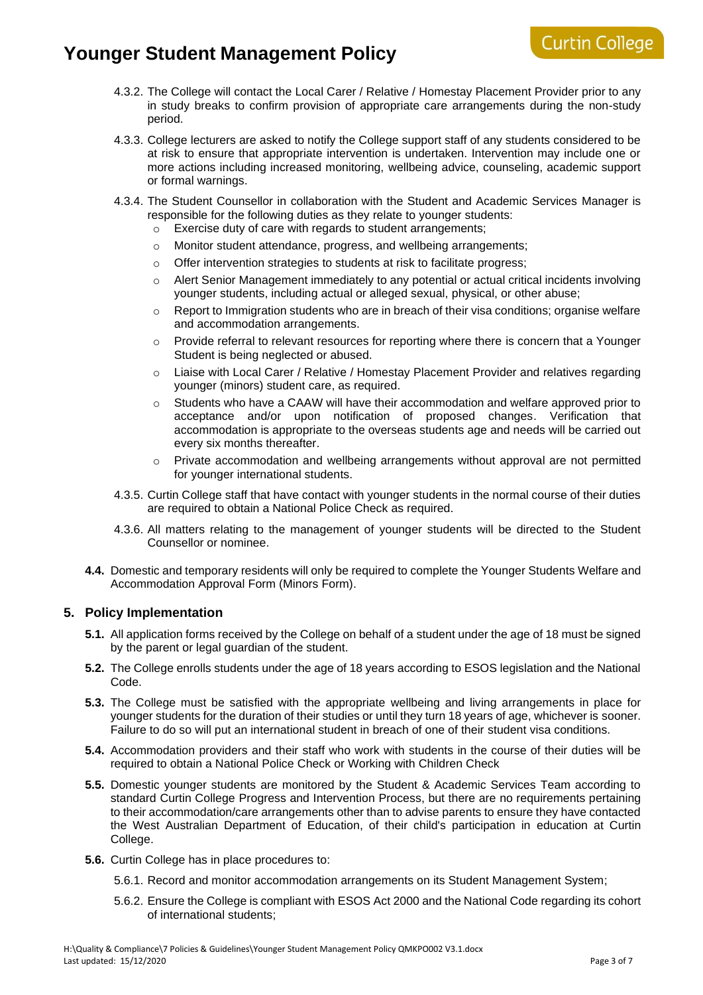- 4.3.2. The College will contact the Local Carer / Relative / Homestay Placement Provider prior to any in study breaks to confirm provision of appropriate care arrangements during the non-study period.
- 4.3.3. College lecturers are asked to notify the College support staff of any students considered to be at risk to ensure that appropriate intervention is undertaken. Intervention may include one or more actions including increased monitoring, wellbeing advice, counseling, academic support or formal warnings.
- 4.3.4. The Student Counsellor in collaboration with the Student and Academic Services Manager is responsible for the following duties as they relate to younger students:
	- Exercise duty of care with regards to student arrangements;
	- o Monitor student attendance, progress, and wellbeing arrangements;
	- o Offer intervention strategies to students at risk to facilitate progress;
	- $\circ$  Alert Senior Management immediately to any potential or actual critical incidents involving younger students, including actual or alleged sexual, physical, or other abuse;
	- Report to Immigration students who are in breach of their visa conditions; organise welfare and accommodation arrangements.
	- $\circ$  Provide referral to relevant resources for reporting where there is concern that a Younger Student is being neglected or abused.
	- o Liaise with Local Carer / Relative / Homestay Placement Provider and relatives regarding younger (minors) student care, as required.
	- o Students who have a CAAW will have their accommodation and welfare approved prior to acceptance and/or upon notification of proposed changes. Verification that accommodation is appropriate to the overseas students age and needs will be carried out every six months thereafter.
	- $\circ$  Private accommodation and wellbeing arrangements without approval are not permitted for younger international students.
- 4.3.5. Curtin College staff that have contact with younger students in the normal course of their duties are required to obtain a National Police Check as required.
- 4.3.6. All matters relating to the management of younger students will be directed to the Student Counsellor or nominee.
- **4.4.** Domestic and temporary residents will only be required to complete the Younger Students Welfare and Accommodation Approval Form (Minors Form).

### **5. Policy Implementation**

- **5.1.** All application forms received by the College on behalf of a student under the age of 18 must be signed by the parent or legal guardian of the student.
- **5.2.** The College enrolls students under the age of 18 years according to ESOS legislation and the National Code.
- **5.3.** The College must be satisfied with the appropriate wellbeing and living arrangements in place for younger students for the duration of their studies or until they turn 18 years of age, whichever is sooner. Failure to do so will put an international student in breach of one of their student visa conditions.
- **5.4.** Accommodation providers and their staff who work with students in the course of their duties will be required to obtain a National Police Check or Working with Children Check
- **5.5.** Domestic younger students are monitored by the Student & Academic Services Team according to standard Curtin College Progress and Intervention Process, but there are no requirements pertaining to their accommodation/care arrangements other than to advise parents to ensure they have contacted the West Australian Department of Education, of their child's participation in education at Curtin College.
- **5.6.** Curtin College has in place procedures to:
	- 5.6.1. Record and monitor accommodation arrangements on its Student Management System;
	- 5.6.2. Ensure the College is compliant with ESOS Act 2000 and the National Code regarding its cohort of international students;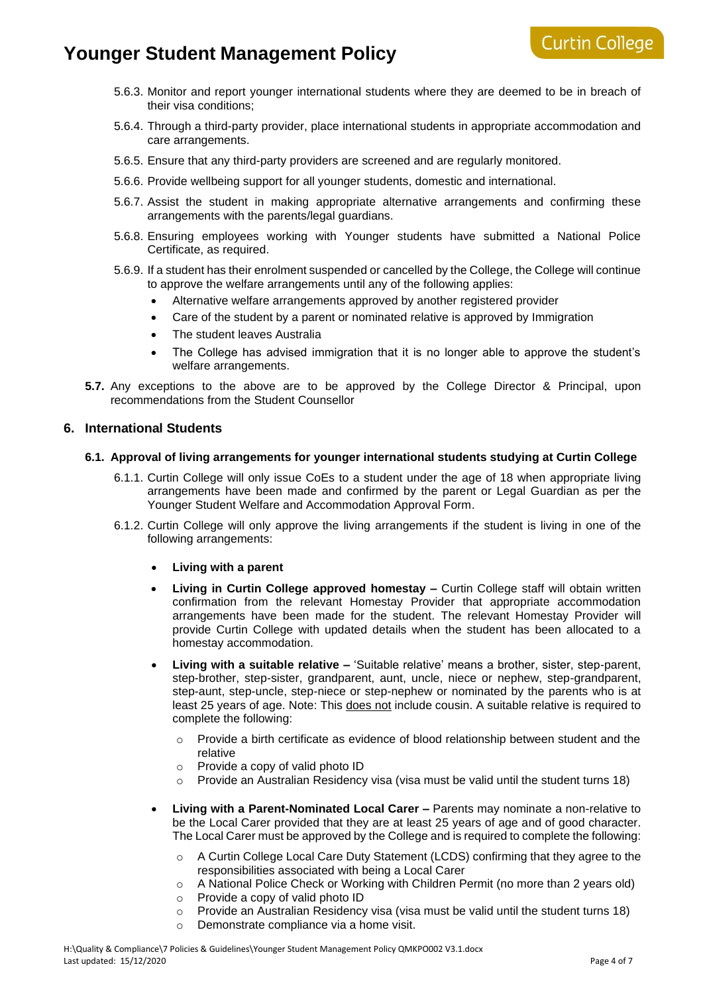- 5.6.3. Monitor and report younger international students where they are deemed to be in breach of their visa conditions;
- 5.6.4. Through a third-party provider, place international students in appropriate accommodation and care arrangements.
- 5.6.5. Ensure that any third-party providers are screened and are regularly monitored.
- 5.6.6. Provide wellbeing support for all younger students, domestic and international.
- 5.6.7. Assist the student in making appropriate alternative arrangements and confirming these arrangements with the parents/legal guardians.
- 5.6.8. Ensuring employees working with Younger students have submitted a National Police Certificate, as required.
- 5.6.9. If a student has their enrolment suspended or cancelled by the College, the College will continue to approve the welfare arrangements until any of the following applies:
	- Alternative welfare arrangements approved by another registered provider
	- Care of the student by a parent or nominated relative is approved by Immigration
	- The student leaves Australia
	- The College has advised immigration that it is no longer able to approve the student's welfare arrangements.
- **5.7.** Any exceptions to the above are to be approved by the College Director & Principal, upon recommendations from the Student Counsellor

#### **6. International Students**

#### **6.1. Approval of living arrangements for younger international students studying at Curtin College**

- 6.1.1. Curtin College will only issue CoEs to a student under the age of 18 when appropriate living arrangements have been made and confirmed by the parent or Legal Guardian as per the Younger Student Welfare and Accommodation Approval Form.
- 6.1.2. Curtin College will only approve the living arrangements if the student is living in one of the following arrangements:
	- **Living with a parent**
	- **Living in Curtin College approved homestay –** Curtin College staff will obtain written confirmation from the relevant Homestay Provider that appropriate accommodation arrangements have been made for the student. The relevant Homestay Provider will provide Curtin College with updated details when the student has been allocated to a homestay accommodation.
	- **Living with a suitable relative –** 'Suitable relative' means a brother, sister, step-parent, step-brother, step-sister, grandparent, aunt, uncle, niece or nephew, step-grandparent, step-aunt, step-uncle, step-niece or step-nephew or nominated by the parents who is at least 25 years of age. Note: This does not include cousin. A suitable relative is required to complete the following:
		- $\circ$  Provide a birth certificate as evidence of blood relationship between student and the relative
		- o Provide a copy of valid photo ID
		- $\circ$  Provide an Australian Residency visa (visa must be valid until the student turns 18)
	- **Living with a Parent-Nominated Local Carer –** Parents may nominate a non-relative to be the Local Carer provided that they are at least 25 years of age and of good character. The Local Carer must be approved by the College and is required to complete the following:
		- o A Curtin College Local Care Duty Statement (LCDS) confirming that they agree to the responsibilities associated with being a Local Carer
		- o A National Police Check or Working with Children Permit (no more than 2 years old)
		- o Provide a copy of valid photo ID
		- $\circ$  Provide an Australian Residency visa (visa must be valid until the student turns 18)
			- o Demonstrate compliance via a home visit.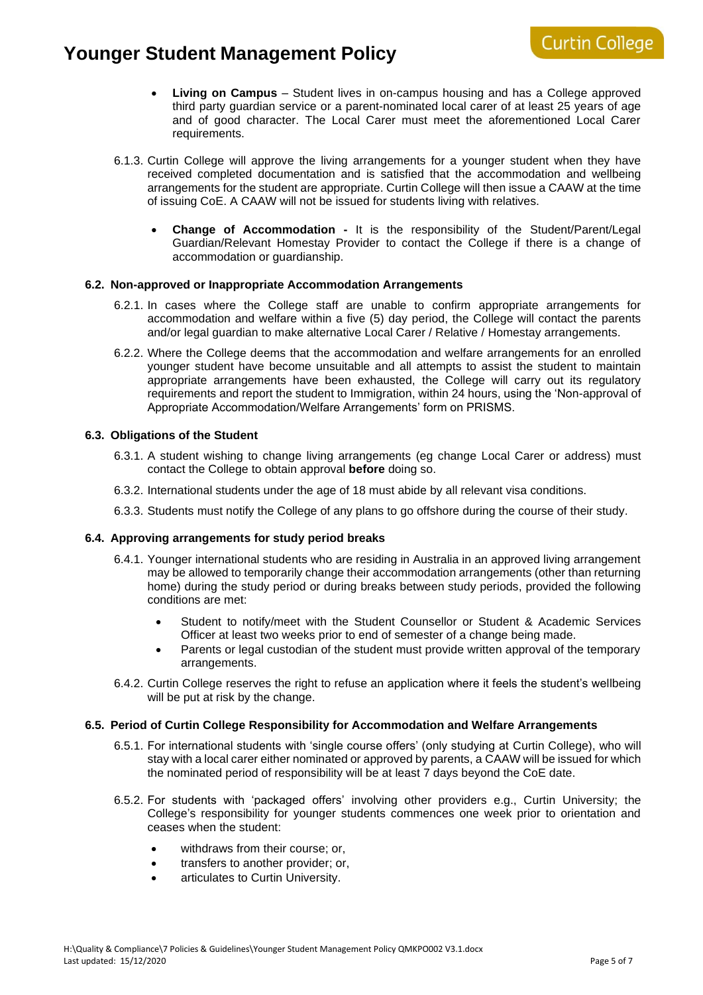- **Living on Campus** Student lives in on-campus housing and has a College approved third party guardian service or a parent-nominated local carer of at least 25 years of age and of good character. The Local Carer must meet the aforementioned Local Carer requirements.
- 6.1.3. Curtin College will approve the living arrangements for a younger student when they have received completed documentation and is satisfied that the accommodation and wellbeing arrangements for the student are appropriate. Curtin College will then issue a CAAW at the time of issuing CoE. A CAAW will not be issued for students living with relatives.
	- **Change of Accommodation -** It is the responsibility of the Student/Parent/Legal Guardian/Relevant Homestay Provider to contact the College if there is a change of accommodation or guardianship.

#### **6.2. Non-approved or Inappropriate Accommodation Arrangements**

- 6.2.1. In cases where the College staff are unable to confirm appropriate arrangements for accommodation and welfare within a five (5) day period, the College will contact the parents and/or legal guardian to make alternative Local Carer / Relative / Homestay arrangements.
- 6.2.2. Where the College deems that the accommodation and welfare arrangements for an enrolled younger student have become unsuitable and all attempts to assist the student to maintain appropriate arrangements have been exhausted, the College will carry out its regulatory requirements and report the student to Immigration, within 24 hours, using the 'Non-approval of Appropriate Accommodation/Welfare Arrangements' form on PRISMS.

#### **6.3. Obligations of the Student**

- 6.3.1. A student wishing to change living arrangements (eg change Local Carer or address) must contact the College to obtain approval **before** doing so.
- 6.3.2. International students under the age of 18 must abide by all relevant visa conditions.
- 6.3.3. Students must notify the College of any plans to go offshore during the course of their study.

#### **6.4. Approving arrangements for study period breaks**

- 6.4.1. Younger international students who are residing in Australia in an approved living arrangement may be allowed to temporarily change their accommodation arrangements (other than returning home) during the study period or during breaks between study periods, provided the following conditions are met:
	- Student to notify/meet with the Student Counsellor or Student & Academic Services Officer at least two weeks prior to end of semester of a change being made.
	- Parents or legal custodian of the student must provide written approval of the temporary arrangements.
- 6.4.2. Curtin College reserves the right to refuse an application where it feels the student's wellbeing will be put at risk by the change.

#### **6.5. Period of Curtin College Responsibility for Accommodation and Welfare Arrangements**

- 6.5.1. For international students with 'single course offers' (only studying at Curtin College), who will stay with a local carer either nominated or approved by parents, a CAAW will be issued for which the nominated period of responsibility will be at least 7 days beyond the CoE date.
- 6.5.2. For students with 'packaged offers' involving other providers e.g., Curtin University; the College's responsibility for younger students commences one week prior to orientation and ceases when the student:
	- withdraws from their course; or,
	- transfers to another provider; or,
	- articulates to Curtin University.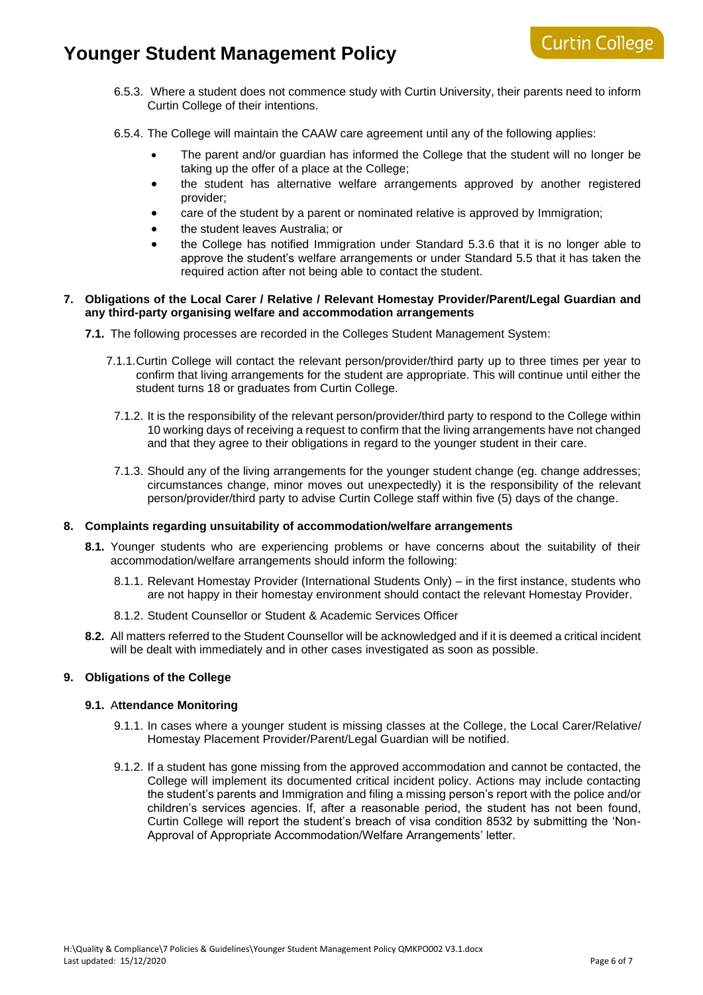## **Curtin College**

- 6.5.3. Where a student does not commence study with Curtin University, their parents need to inform Curtin College of their intentions.
- 6.5.4. The College will maintain the CAAW care agreement until any of the following applies:
	- The parent and/or guardian has informed the College that the student will no longer be taking up the offer of a place at the College;
	- the student has alternative welfare arrangements approved by another registered provider;
	- care of the student by a parent or nominated relative is approved by Immigration;
	- the student leaves Australia; or
	- the College has notified Immigration under Standard 5.3.6 that it is no longer able to approve the student's welfare arrangements or under Standard 5.5 that it has taken the required action after not being able to contact the student.

#### **7. Obligations of the Local Carer / Relative / Relevant Homestay Provider/Parent/Legal Guardian and any third-party organising welfare and accommodation arrangements**

**7.1.** The following processes are recorded in the Colleges Student Management System:

- 7.1.1.Curtin College will contact the relevant person/provider/third party up to three times per year to confirm that living arrangements for the student are appropriate. This will continue until either the student turns 18 or graduates from Curtin College.
	- 7.1.2. It is the responsibility of the relevant person/provider/third party to respond to the College within 10 working days of receiving a request to confirm that the living arrangements have not changed and that they agree to their obligations in regard to the younger student in their care.
	- 7.1.3. Should any of the living arrangements for the younger student change (eg. change addresses; circumstances change, minor moves out unexpectedly) it is the responsibility of the relevant person/provider/third party to advise Curtin College staff within five (5) days of the change.

### **8. Complaints regarding unsuitability of accommodation/welfare arrangements**

- **8.1.** Younger students who are experiencing problems or have concerns about the suitability of their accommodation/welfare arrangements should inform the following:
	- 8.1.1. Relevant Homestay Provider (International Students Only) in the first instance, students who are not happy in their homestay environment should contact the relevant Homestay Provider.
	- 8.1.2. Student Counsellor or Student & Academic Services Officer
- **8.2.** All matters referred to the Student Counsellor will be acknowledged and if it is deemed a critical incident will be dealt with immediately and in other cases investigated as soon as possible.

### **9. Obligations of the College**

#### **9.1.** A**ttendance Monitoring**

- 9.1.1. In cases where a younger student is missing classes at the College, the Local Carer/Relative/ Homestay Placement Provider/Parent/Legal Guardian will be notified.
- 9.1.2. If a student has gone missing from the approved accommodation and cannot be contacted, the College will implement its documented critical incident policy. Actions may include contacting the student's parents and Immigration and filing a missing person's report with the police and/or children's services agencies. If, after a reasonable period, the student has not been found, Curtin College will report the student's breach of visa condition 8532 by submitting the 'Non-Approval of Appropriate Accommodation/Welfare Arrangements' letter.